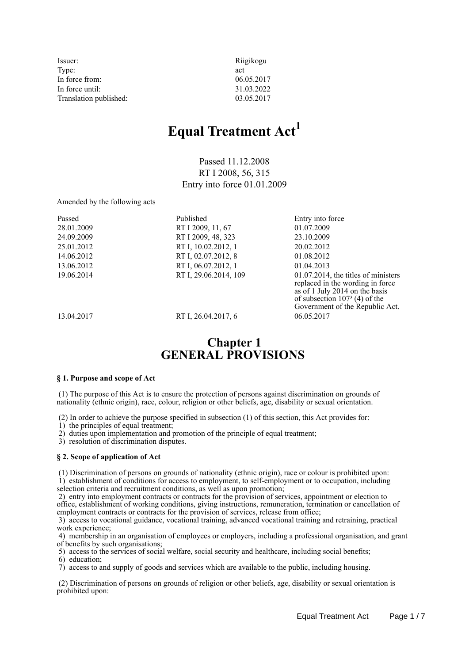| Issuer:                | Riigikogu  |
|------------------------|------------|
| Type:                  | act        |
| In force from:         | 06.05.2017 |
| In force until:        | 31.03.2022 |
| Translation published: | 03.05.2017 |

# **Equal Treatment Act<sup>1</sup>**

Passed 11.12.2008 RT I 2008, 56, 315 Entry into force 01.01.2009

Amended by the following acts

| Published             | Entry into force                                                                                                                                                                   |
|-----------------------|------------------------------------------------------------------------------------------------------------------------------------------------------------------------------------|
| RT I 2009, 11, 67     | 01.07.2009                                                                                                                                                                         |
| RT I 2009, 48, 323    | 23.10.2009                                                                                                                                                                         |
| RT I, 10.02.2012, 1   | 20.02.2012                                                                                                                                                                         |
| RT I, 02.07.2012, 8   | 01.08.2012                                                                                                                                                                         |
| RT I, 06.07.2012, 1   | 01.04.2013                                                                                                                                                                         |
| RT I, 29.06.2014, 109 | $01.07.2014$ , the titles of ministers<br>replaced in the wording in force<br>as of 1 July 2014 on the basis<br>of subsection $1073$ (4) of the<br>Government of the Republic Act. |
|                       |                                                                                                                                                                                    |

13.04.2017 RT I, 26.04.2017, 6 06.05.2017

# **Chapter 1 GENERAL PROVISIONS**

### **§ 1. Purpose and scope of Act**

 (1) The purpose of this Act is to ensure the protection of persons against discrimination on grounds of nationality (ethnic origin), race, colour, religion or other beliefs, age, disability or sexual orientation.

(2) In order to achieve the purpose specified in subsection (1) of this section, this Act provides for:

1) the principles of equal treatment;

2) duties upon implementation and promotion of the principle of equal treatment;

3) resolution of discrimination disputes.

### **§ 2. Scope of application of Act**

 (1) Discrimination of persons on grounds of nationality (ethnic origin), race or colour is prohibited upon: 1) establishment of conditions for access to employment, to self-employment or to occupation, including selection criteria and recruitment conditions, as well as upon promotion;

 2) entry into employment contracts or contracts for the provision of services, appointment or election to office, establishment of working conditions, giving instructions, remuneration, termination or cancellation of employment contracts or contracts for the provision of services, release from office;

 3) access to vocational guidance, vocational training, advanced vocational training and retraining, practical work experience;

 4) membership in an organisation of employees or employers, including a professional organisation, and grant of benefits by such organisations;

5) access to the services of social welfare, social security and healthcare, including social benefits;

6) education;

7) access to and supply of goods and services which are available to the public, including housing.

 (2) Discrimination of persons on grounds of religion or other beliefs, age, disability or sexual orientation is prohibited upon: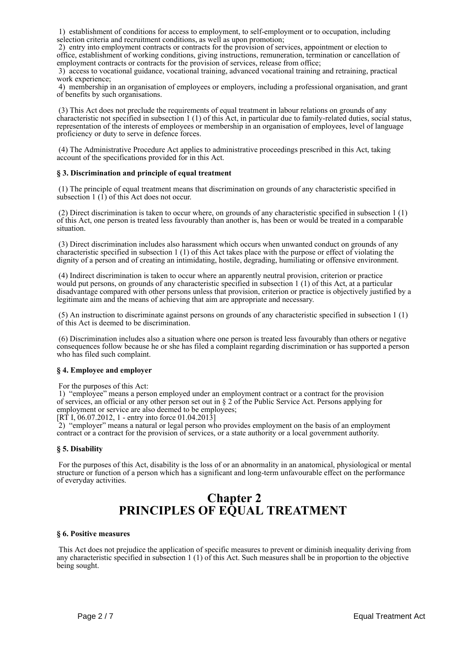1) establishment of conditions for access to employment, to self-employment or to occupation, including selection criteria and recruitment conditions, as well as upon promotion;

 2) entry into employment contracts or contracts for the provision of services, appointment or election to office, establishment of working conditions, giving instructions, remuneration, termination or cancellation of employment contracts or contracts for the provision of services, release from office;

 3) access to vocational guidance, vocational training, advanced vocational training and retraining, practical work experience;

 4) membership in an organisation of employees or employers, including a professional organisation, and grant of benefits by such organisations.

 (3) This Act does not preclude the requirements of equal treatment in labour relations on grounds of any characteristic not specified in subsection 1 (1) of this Act, in particular due to family-related duties, social status, representation of the interests of employees or membership in an organisation of employees, level of language proficiency or duty to serve in defence forces.

 (4) The Administrative Procedure Act applies to administrative proceedings prescribed in this Act, taking account of the specifications provided for in this Act.

### **§ 3. Discrimination and principle of equal treatment**

 (1) The principle of equal treatment means that discrimination on grounds of any characteristic specified in subsection  $1 \times (1)$  of this Act does not occur.

 (2) Direct discrimination is taken to occur where, on grounds of any characteristic specified in subsection 1 (1) of this Act, one person is treated less favourably than another is, has been or would be treated in a comparable situation.

 (3) Direct discrimination includes also harassment which occurs when unwanted conduct on grounds of any characteristic specified in subsection 1 (1) of this Act takes place with the purpose or effect of violating the dignity of a person and of creating an intimidating, hostile, degrading, humiliating or offensive environment.

 (4) Indirect discrimination is taken to occur where an apparently neutral provision, criterion or practice would put persons, on grounds of any characteristic specified in subsection 1 (1) of this Act, at a particular disadvantage compared with other persons unless that provision, criterion or practice is objectively justified by a legitimate aim and the means of achieving that aim are appropriate and necessary.

 (5) An instruction to discriminate against persons on grounds of any characteristic specified in subsection 1 (1) of this Act is deemed to be discrimination.

 (6) Discrimination includes also a situation where one person is treated less favourably than others or negative consequences follow because he or she has filed a complaint regarding discrimination or has supported a person who has filed such complaint.

### **§ 4. Employee and employer**

#### For the purposes of this Act:

 1) "employee" means a person employed under an employment contract or a contract for the provision of services, an official or any other person set out in § 2 of the Public Service Act. Persons applying for employment or service are also deemed to be employees;

[RT I, 06.07.2012, 1 - entry into force  $01.04.2013$ ]

 2) "employer" means a natural or legal person who provides employment on the basis of an employment contract or a contract for the provision of services, or a state authority or a local government authority.

#### **§ 5. Disability**

 For the purposes of this Act, disability is the loss of or an abnormality in an anatomical, physiological or mental structure or function of a person which has a significant and long-term unfavourable effect on the performance of everyday activities.

# **Chapter 2 PRINCIPLES OF EQUAL TREATMENT**

#### **§ 6. Positive measures**

 This Act does not prejudice the application of specific measures to prevent or diminish inequality deriving from any characteristic specified in subsection 1 (1) of this Act. Such measures shall be in proportion to the objective being sought.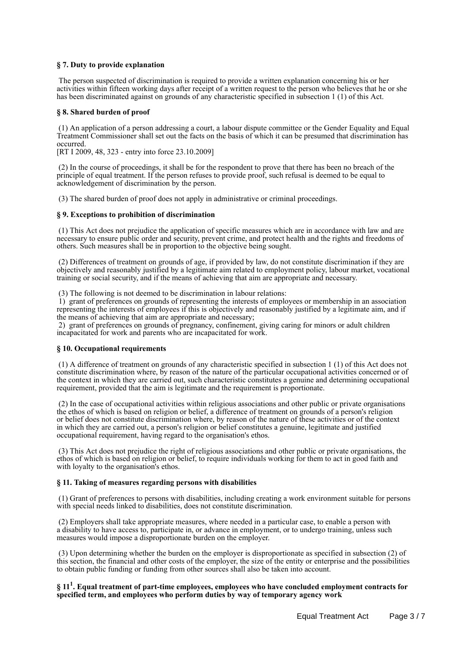### **§ 7. Duty to provide explanation**

 The person suspected of discrimination is required to provide a written explanation concerning his or her activities within fifteen working days after receipt of a written request to the person who believes that he or she has been discriminated against on grounds of any characteristic specified in subsection 1 (1) of this Act.

#### **§ 8. Shared burden of proof**

 (1) An application of a person addressing a court, a labour dispute committee or the Gender Equality and Equal Treatment Commissioner shall set out the facts on the basis of which it can be presumed that discrimination has occurred.

[RT I 2009, 48, 323 - entry into force 23.10.2009]

 (2) In the course of proceedings, it shall be for the respondent to prove that there has been no breach of the principle of equal treatment. If the person refuses to provide proof, such refusal is deemed to be equal to acknowledgement of discrimination by the person.

(3) The shared burden of proof does not apply in administrative or criminal proceedings.

### **§ 9. Exceptions to prohibition of discrimination**

 (1) This Act does not prejudice the application of specific measures which are in accordance with law and are necessary to ensure public order and security, prevent crime, and protect health and the rights and freedoms of others. Such measures shall be in proportion to the objective being sought.

 (2) Differences of treatment on grounds of age, if provided by law, do not constitute discrimination if they are objectively and reasonably justified by a legitimate aim related to employment policy, labour market, vocational training or social security, and if the means of achieving that aim are appropriate and necessary.

(3) The following is not deemed to be discrimination in labour relations:

 1) grant of preferences on grounds of representing the interests of employees or membership in an association representing the interests of employees if this is objectively and reasonably justified by a legitimate aim, and if the means of achieving that aim are appropriate and necessary;

 2) grant of preferences on grounds of pregnancy, confinement, giving caring for minors or adult children incapacitated for work and parents who are incapacitated for work.

#### **§ 10. Occupational requirements**

 (1) A difference of treatment on grounds of any characteristic specified in subsection 1 (1) of this Act does not constitute discrimination where, by reason of the nature of the particular occupational activities concerned or of the context in which they are carried out, such characteristic constitutes a genuine and determining occupational requirement, provided that the aim is legitimate and the requirement is proportionate.

 (2) In the case of occupational activities within religious associations and other public or private organisations the ethos of which is based on religion or belief, a difference of treatment on grounds of a person's religion or belief does not constitute discrimination where, by reason of the nature of these activities or of the context in which they are carried out, a person's religion or belief constitutes a genuine, legitimate and justified occupational requirement, having regard to the organisation's ethos.

 (3) This Act does not prejudice the right of religious associations and other public or private organisations, the ethos of which is based on religion or belief, to require individuals working for them to act in good faith and with loyalty to the organisation's ethos.

#### **§ 11. Taking of measures regarding persons with disabilities**

 (1) Grant of preferences to persons with disabilities, including creating a work environment suitable for persons with special needs linked to disabilities, does not constitute discrimination.

 (2) Employers shall take appropriate measures, where needed in a particular case, to enable a person with a disability to have access to, participate in, or advance in employment, or to undergo training, unless such measures would impose a disproportionate burden on the employer.

 (3) Upon determining whether the burden on the employer is disproportionate as specified in subsection (2) of this section, the financial and other costs of the employer, the size of the entity or enterprise and the possibilities to obtain public funding or funding from other sources shall also be taken into account.

### **§ 11<sup>1</sup> . Equal treatment of part-time employees, employees who have concluded employment contracts for specified term, and employees who perform duties by way of temporary agency work**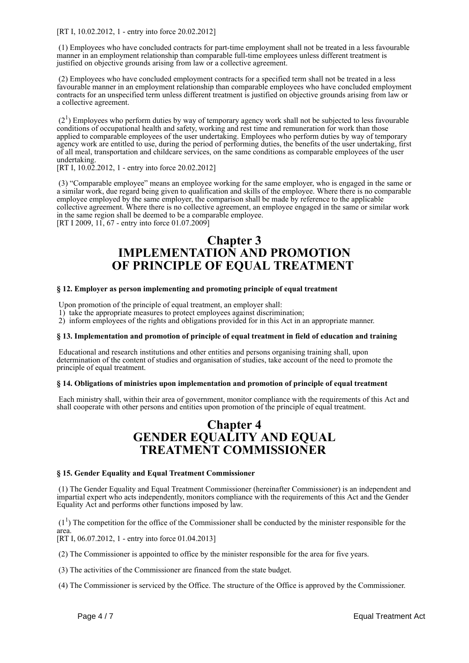[RT I, 10.02.2012, 1 - entry into force 20.02.2012]

 (1) Employees who have concluded contracts for part-time employment shall not be treated in a less favourable manner in an employment relationship than comparable full-time employees unless different treatment is justified on objective grounds arising from law or a collective agreement.

 (2) Employees who have concluded employment contracts for a specified term shall not be treated in a less favourable manner in an employment relationship than comparable employees who have concluded employment contracts for an unspecified term unless different treatment is justified on objective grounds arising from law or a collective agreement.

 $(2<sup>1</sup>)$  Employees who perform duties by way of temporary agency work shall not be subjected to less favourable conditions of occupational health and safety, working and rest time and remuneration for work than those applied to comparable employees of the user undertaking. Employees who perform duties by way of temporary agency work are entitled to use, during the period of performing duties, the benefits of the user undertaking, first of all meal, transportation and childcare services, on the same conditions as comparable employees of the user undertaking.

[RT I, 10.02.2012, 1 - entry into force 20.02.2012]

 (3) "Comparable employee" means an employee working for the same employer, who is engaged in the same or a similar work, due regard being given to qualification and skills of the employee. Where there is no comparable employee employed by the same employer, the comparison shall be made by reference to the applicable collective agreement. Where there is no collective agreement, an employee engaged in the same or similar work in the same region shall be deemed to be a comparable employee. [RT I 2009, 11, 67 - entry into force 01.07.2009]

# **Chapter 3 IMPLEMENTATION AND PROMOTION OF PRINCIPLE OF EQUAL TREATMENT**

### **§ 12. Employer as person implementing and promoting principle of equal treatment**

Upon promotion of the principle of equal treatment, an employer shall:

1) take the appropriate measures to protect employees against discrimination;

2) inform employees of the rights and obligations provided for in this Act in an appropriate manner.

#### **§ 13. Implementation and promotion of principle of equal treatment in field of education and training**

 Educational and research institutions and other entities and persons organising training shall, upon determination of the content of studies and organisation of studies, take account of the need to promote the principle of equal treatment.

#### **§ 14. Obligations of ministries upon implementation and promotion of principle of equal treatment**

 Each ministry shall, within their area of government, monitor compliance with the requirements of this Act and shall cooperate with other persons and entities upon promotion of the principle of equal treatment.

# **Chapter 4 GENDER EQUALITY AND EQUAL TREATMENT COMMISSIONER**

#### **§ 15. Gender Equality and Equal Treatment Commissioner**

 (1) The Gender Equality and Equal Treatment Commissioner (hereinafter Commissioner) is an independent and impartial expert who acts independently, monitors compliance with the requirements of this Act and the Gender Equality Act and performs other functions imposed by law.

 $(1<sup>1</sup>)$  The competition for the office of the Commissioner shall be conducted by the minister responsible for the area. [RT I, 06.07.2012, 1 - entry into force 01.04.2013]

(2) The Commissioner is appointed to office by the minister responsible for the area for five years.

(3) The activities of the Commissioner are financed from the state budget.

(4) The Commissioner is serviced by the Office. The structure of the Office is approved by the Commissioner.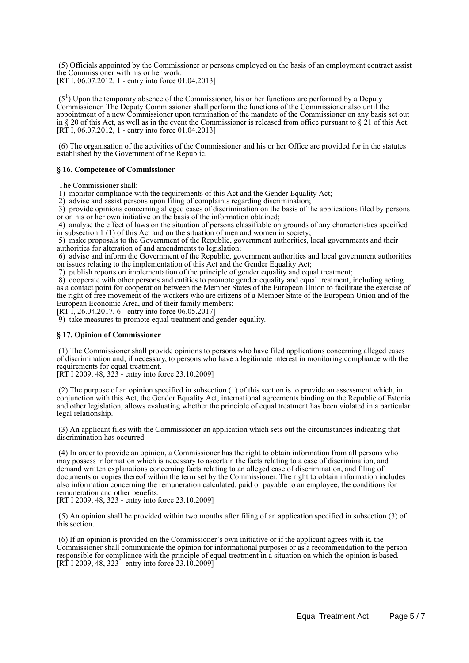(5) Officials appointed by the Commissioner or persons employed on the basis of an employment contract assist the Commissioner with his or her work. [RT I, 06.07.2012, 1 - entry into force 01.04.2013]

 $(5<sup>1</sup>)$  Upon the temporary absence of the Commissioner, his or her functions are performed by a Deputy Commissioner. The Deputy Commissioner shall perform the functions of the Commissioner also until the appointment of a new Commissioner upon termination of the mandate of the Commissioner on any basis set out in § 20 of this Act, as well as in the event the Commissioner is released from office pursuant to § 21 of this Act. [RT I, 06.07.2012, 1 - entry into force 01.04.2013]

 (6) The organisation of the activities of the Commissioner and his or her Office are provided for in the statutes established by the Government of the Republic.

#### **§ 16. Competence of Commissioner**

The Commissioner shall:

1) monitor compliance with the requirements of this Act and the Gender Equality Act;

2) advise and assist persons upon filing of complaints regarding discrimination;

 3) provide opinions concerning alleged cases of discrimination on the basis of the applications filed by persons or on his or her own initiative on the basis of the information obtained;

 4) analyse the effect of laws on the situation of persons classifiable on grounds of any characteristics specified in subsection 1 (1) of this Act and on the situation of men and women in society;

 5) make proposals to the Government of the Republic, government authorities, local governments and their authorities for alteration of and amendments to legislation;

 6) advise and inform the Government of the Republic, government authorities and local government authorities on issues relating to the implementation of this Act and the Gender Equality Act;

7) publish reports on implementation of the principle of gender equality and equal treatment;

 8) cooperate with other persons and entities to promote gender equality and equal treatment, including acting as a contact point for cooperation between the Member States of the European Union to facilitate the exercise of the right of free movement of the workers who are citizens of a Member State of the European Union and of the European Economic Area, and of their family members;

[RT I, 26.04.2017, 6 - entry into force 06.05.2017]

9) take measures to promote equal treatment and gender equality.

#### **§ 17. Opinion of Commissioner**

 (1) The Commissioner shall provide opinions to persons who have filed applications concerning alleged cases of discrimination and, if necessary, to persons who have a legitimate interest in monitoring compliance with the requirements for equal treatment.

[RT I 2009, 48, 323 - entry into force 23.10.2009]

 (2) The purpose of an opinion specified in subsection (1) of this section is to provide an assessment which, in conjunction with this Act, the Gender Equality Act, international agreements binding on the Republic of Estonia and other legislation, allows evaluating whether the principle of equal treatment has been violated in a particular legal relationship.

 (3) An applicant files with the Commissioner an application which sets out the circumstances indicating that discrimination has occurred.

 (4) In order to provide an opinion, a Commissioner has the right to obtain information from all persons who may possess information which is necessary to ascertain the facts relating to a case of discrimination, and demand written explanations concerning facts relating to an alleged case of discrimination, and filing of documents or copies thereof within the term set by the Commissioner. The right to obtain information includes also information concerning the remuneration calculated, paid or payable to an employee, the conditions for remuneration and other benefits.

[RT I 2009, 48, 323 - entry into force 23.10.2009]

 (5) An opinion shall be provided within two months after filing of an application specified in subsection (3) of this section.

 (6) If an opinion is provided on the Commissioner's own initiative or if the applicant agrees with it, the Commissioner shall communicate the opinion for informational purposes or as a recommendation to the person responsible for compliance with the principle of equal treatment in a situation on which the opinion is based. [RT I 2009, 48, 323<sup>-</sup> entry into force 23.10.2009]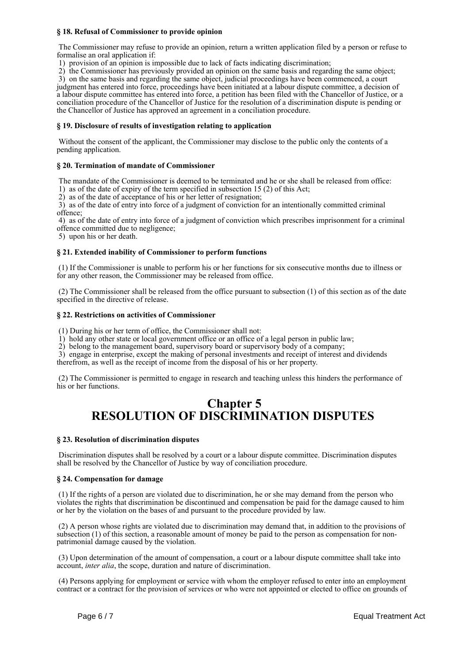### **§ 18. Refusal of Commissioner to provide opinion**

 The Commissioner may refuse to provide an opinion, return a written application filed by a person or refuse to formalise an oral application if:

1) provision of an opinion is impossible due to lack of facts indicating discrimination;

2) the Commissioner has previously provided an opinion on the same basis and regarding the same object;

 3) on the same basis and regarding the same object, judicial proceedings have been commenced, a court judgment has entered into force, proceedings have been initiated at a labour dispute committee, a decision of a labour dispute committee has entered into force, a petition has been filed with the Chancellor of Justice, or a conciliation procedure of the Chancellor of Justice for the resolution of a discrimination dispute is pending or the Chancellor of Justice has approved an agreement in a conciliation procedure.

#### **§ 19. Disclosure of results of investigation relating to application**

 Without the consent of the applicant, the Commissioner may disclose to the public only the contents of a pending application.

### **§ 20. Termination of mandate of Commissioner**

 The mandate of the Commissioner is deemed to be terminated and he or she shall be released from office: 1) as of the date of expiry of the term specified in subsection 15 (2) of this Act;

2) as of the date of acceptance of his or her letter of resignation;

 3) as of the date of entry into force of a judgment of conviction for an intentionally committed criminal offence;

 4) as of the date of entry into force of a judgment of conviction which prescribes imprisonment for a criminal offence committed due to negligence;

5) upon his or her death.

### **§ 21. Extended inability of Commissioner to perform functions**

 (1) If the Commissioner is unable to perform his or her functions for six consecutive months due to illness or for any other reason, the Commissioner may be released from office.

 (2) The Commissioner shall be released from the office pursuant to subsection (1) of this section as of the date specified in the directive of release.

#### **§ 22. Restrictions on activities of Commissioner**

(1) During his or her term of office, the Commissioner shall not:

1) hold any other state or local government office or an office of a legal person in public law;

2) belong to the management board, supervisory board or supervisory body of a company;

 3) engage in enterprise, except the making of personal investments and receipt of interest and dividends therefrom, as well as the receipt of income from the disposal of his or her property.

 (2) The Commissioner is permitted to engage in research and teaching unless this hinders the performance of his or her functions.

## **Chapter 5 RESOLUTION OF DISCRIMINATION DISPUTES**

#### **§ 23. Resolution of discrimination disputes**

 Discrimination disputes shall be resolved by a court or a labour dispute committee. Discrimination disputes shall be resolved by the Chancellor of Justice by way of conciliation procedure.

#### **§ 24. Compensation for damage**

 (1) If the rights of a person are violated due to discrimination, he or she may demand from the person who violates the rights that discrimination be discontinued and compensation be paid for the damage caused to him or her by the violation on the bases of and pursuant to the procedure provided by law.

 (2) A person whose rights are violated due to discrimination may demand that, in addition to the provisions of subsection (1) of this section, a reasonable amount of money be paid to the person as compensation for nonpatrimonial damage caused by the violation.

 (3) Upon determination of the amount of compensation, a court or a labour dispute committee shall take into account, *inter alia*, the scope, duration and nature of discrimination.

 (4) Persons applying for employment or service with whom the employer refused to enter into an employment contract or a contract for the provision of services or who were not appointed or elected to office on grounds of